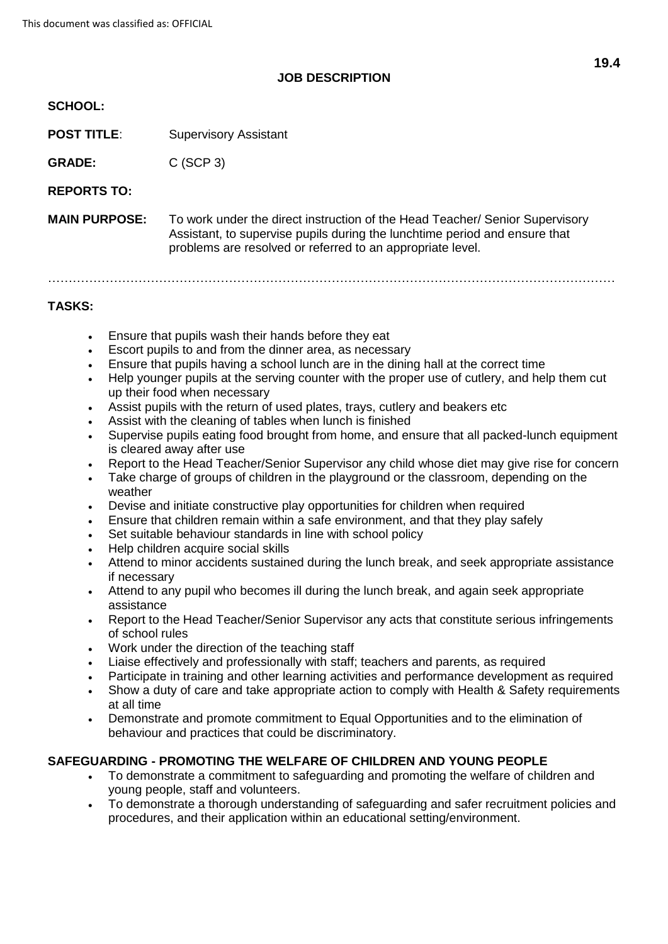# **JOB DESCRIPTION**

#### **SCHOOL:**

**POST TITLE:** Supervisory Assistant

GRADE: C (SCP 3)

**REPORTS TO:**

**MAIN PURPOSE:** To work under the direct instruction of the Head Teacher/ Senior Supervisory Assistant, to supervise pupils during the lunchtime period and ensure that problems are resolved or referred to an appropriate level.

…………………………………………………………………………………………………………………………

# **TASKS:**

- Ensure that pupils wash their hands before they eat
- Escort pupils to and from the dinner area, as necessary
- Ensure that pupils having a school lunch are in the dining hall at the correct time
- Help younger pupils at the serving counter with the proper use of cutlery, and help them cut up their food when necessary
- Assist pupils with the return of used plates, trays, cutlery and beakers etc
- Assist with the cleaning of tables when lunch is finished
- Supervise pupils eating food brought from home, and ensure that all packed-lunch equipment is cleared away after use
- Report to the Head Teacher/Senior Supervisor any child whose diet may give rise for concern
- Take charge of groups of children in the playground or the classroom, depending on the weather
- Devise and initiate constructive play opportunities for children when required
- Ensure that children remain within a safe environment, and that they play safely
- Set suitable behaviour standards in line with school policy
- Help children acquire social skills
- Attend to minor accidents sustained during the lunch break, and seek appropriate assistance if necessary
- Attend to any pupil who becomes ill during the lunch break, and again seek appropriate assistance
- Report to the Head Teacher/Senior Supervisor any acts that constitute serious infringements of school rules
- Work under the direction of the teaching staff
- Liaise effectively and professionally with staff; teachers and parents, as required
- Participate in training and other learning activities and performance development as required
- Show a duty of care and take appropriate action to comply with Health & Safety requirements at all time
- Demonstrate and promote commitment to Equal Opportunities and to the elimination of behaviour and practices that could be discriminatory.

# **SAFEGUARDING - PROMOTING THE WELFARE OF CHILDREN AND YOUNG PEOPLE**

- To demonstrate a commitment to safeguarding and promoting the welfare of children and young people, staff and volunteers.
- To demonstrate a thorough understanding of safeguarding and safer recruitment policies and procedures, and their application within an educational setting/environment.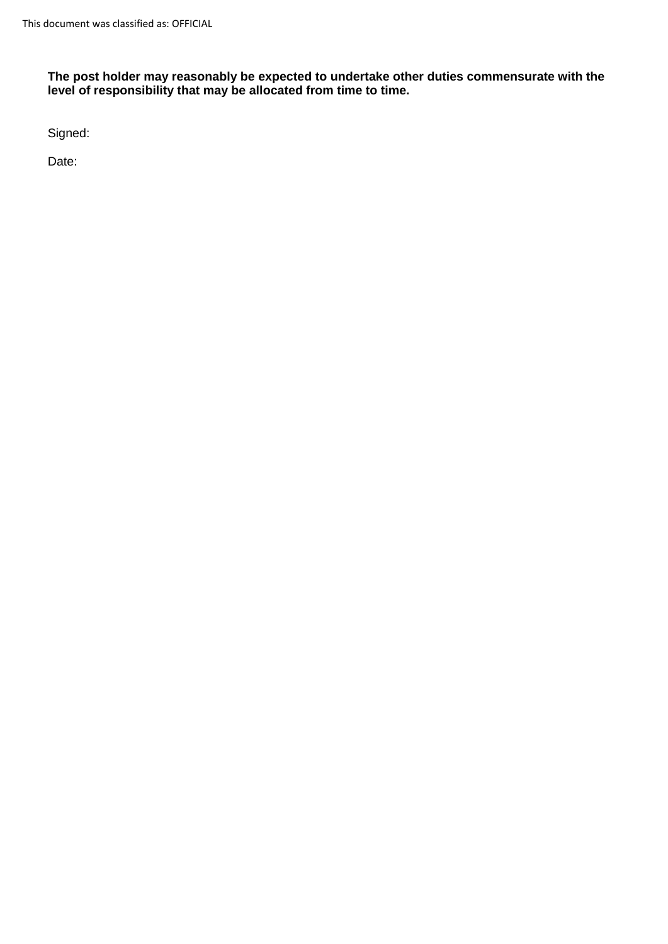**The post holder may reasonably be expected to undertake other duties commensurate with the level of responsibility that may be allocated from time to time.**

Signed:

Date: